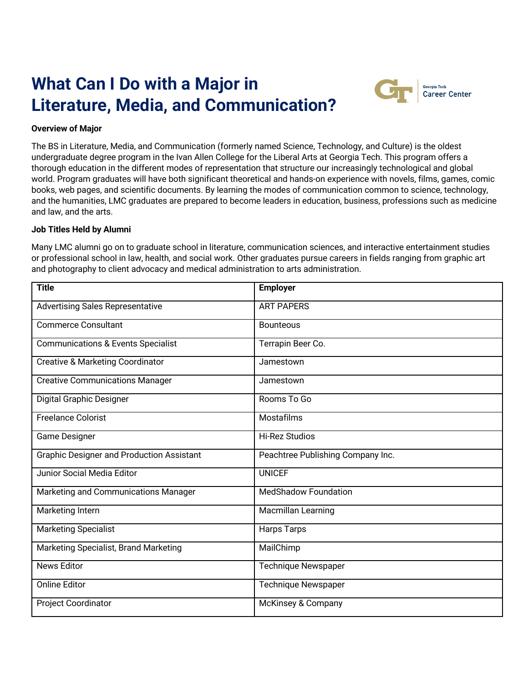# **What Can I Do with a Major in Literature, Media, and Communication?**



# **Overview of Major**

The BS in Literature, Media, and Communication (formerly named Science, Technology, and Culture) is the oldest undergraduate degree program in the Ivan Allen College for the Liberal Arts at Georgia Tech. This program offers a thorough education in the different modes of representation that structure our increasingly technological and global world. Program graduates will have both significant theoretical and hands-on experience with novels, films, games, comic books, web pages, and scientific documents. By learning the modes of communication common to science, technology, and the humanities, LMC graduates are prepared to become leaders in education, business, professions such as medicine and law, and the arts.

### **Job Titles Held by Alumni**

Many LMC alumni go on to graduate school in literature, communication sciences, and interactive entertainment studies or professional school in law, health, and social work. Other graduates pursue careers in fields ranging from graphic art and photography to client advocacy and medical administration to arts administration.

| <b>Title</b>                                     | <b>Employer</b>                   |  |
|--------------------------------------------------|-----------------------------------|--|
| <b>Advertising Sales Representative</b>          | <b>ART PAPERS</b>                 |  |
| <b>Commerce Consultant</b>                       | <b>Bounteous</b>                  |  |
| <b>Communications &amp; Events Specialist</b>    | Terrapin Beer Co.                 |  |
| <b>Creative &amp; Marketing Coordinator</b>      | Jamestown                         |  |
| <b>Creative Communications Manager</b>           | Jamestown                         |  |
| Digital Graphic Designer                         | Rooms To Go                       |  |
| Freelance Colorist                               | Mostafilms                        |  |
| <b>Game Designer</b>                             | <b>Hi-Rez Studios</b>             |  |
| <b>Graphic Designer and Production Assistant</b> | Peachtree Publishing Company Inc. |  |
| <b>Junior Social Media Editor</b>                | <b>UNICEF</b>                     |  |
| Marketing and Communications Manager             | <b>MedShadow Foundation</b>       |  |
| Marketing Intern                                 | <b>Macmillan Learning</b>         |  |
| <b>Marketing Specialist</b>                      | <b>Harps Tarps</b>                |  |
| Marketing Specialist, Brand Marketing            | MailChimp                         |  |
| <b>News Editor</b>                               | <b>Technique Newspaper</b>        |  |
| <b>Online Editor</b>                             | <b>Technique Newspaper</b>        |  |
| <b>Project Coordinator</b>                       | McKinsey & Company                |  |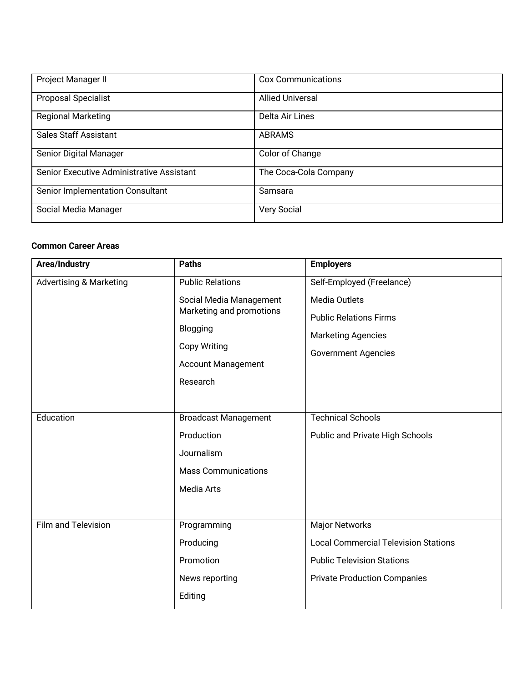| Project Manager II                        | <b>Cox Communications</b> |
|-------------------------------------------|---------------------------|
| <b>Proposal Specialist</b>                | <b>Allied Universal</b>   |
| <b>Regional Marketing</b>                 | Delta Air Lines           |
| <b>Sales Staff Assistant</b>              | <b>ABRAMS</b>             |
| Senior Digital Manager                    | Color of Change           |
| Senior Executive Administrative Assistant | The Coca-Cola Company     |
| Senior Implementation Consultant          | Samsara                   |
| Social Media Manager                      | <b>Very Social</b>        |

#### **Common Career Areas**

| Area/Industry                      | <b>Paths</b>                                                                                                                    | <b>Employers</b>                                                                                                                                 |
|------------------------------------|---------------------------------------------------------------------------------------------------------------------------------|--------------------------------------------------------------------------------------------------------------------------------------------------|
| <b>Advertising &amp; Marketing</b> | <b>Public Relations</b>                                                                                                         | Self-Employed (Freelance)                                                                                                                        |
|                                    | Social Media Management<br>Marketing and promotions<br>Blogging<br><b>Copy Writing</b><br><b>Account Management</b><br>Research | <b>Media Outlets</b><br><b>Public Relations Firms</b><br><b>Marketing Agencies</b><br><b>Government Agencies</b>                                 |
| Education                          | <b>Broadcast Management</b><br>Production<br>Journalism<br><b>Mass Communications</b><br><b>Media Arts</b>                      | <b>Technical Schools</b><br>Public and Private High Schools                                                                                      |
| Film and Television                | Programming<br>Producing<br>Promotion<br>News reporting<br>Editing                                                              | <b>Major Networks</b><br><b>Local Commercial Television Stations</b><br><b>Public Television Stations</b><br><b>Private Production Companies</b> |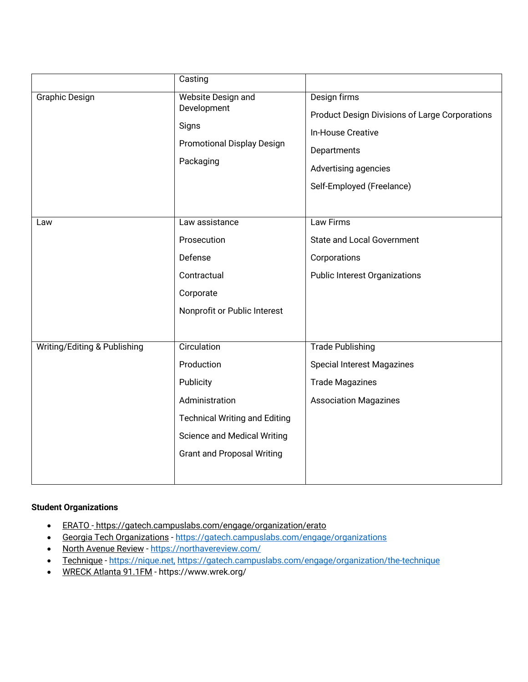|                              | Casting                                                                                                                                                                     |                                                                                                                                                         |
|------------------------------|-----------------------------------------------------------------------------------------------------------------------------------------------------------------------------|---------------------------------------------------------------------------------------------------------------------------------------------------------|
| <b>Graphic Design</b>        | Website Design and<br>Development<br>Signs<br><b>Promotional Display Design</b><br>Packaging                                                                                | Design firms<br>Product Design Divisions of Large Corporations<br>In-House Creative<br>Departments<br>Advertising agencies<br>Self-Employed (Freelance) |
| Law                          | Law assistance<br>Prosecution<br>Defense<br>Contractual<br>Corporate<br>Nonprofit or Public Interest                                                                        | Law Firms<br><b>State and Local Government</b><br>Corporations<br><b>Public Interest Organizations</b>                                                  |
| Writing/Editing & Publishing | Circulation<br>Production<br>Publicity<br>Administration<br><b>Technical Writing and Editing</b><br><b>Science and Medical Writing</b><br><b>Grant and Proposal Writing</b> | <b>Trade Publishing</b><br><b>Special Interest Magazines</b><br><b>Trade Magazines</b><br><b>Association Magazines</b>                                  |

# **Student Organizations**

- ERATO https://gatech.campuslabs.com/engage/organization/erato
- Georgia Tech Organizations https://gatech.campuslabs.com/engage/organizations
- North Avenue Review https://northavereview.com/
- Technique https://nique.net, https://gatech.campuslabs.com/engage/organization/the-technique
- WRECK Atlanta 91.1FM https://www.wrek.org/